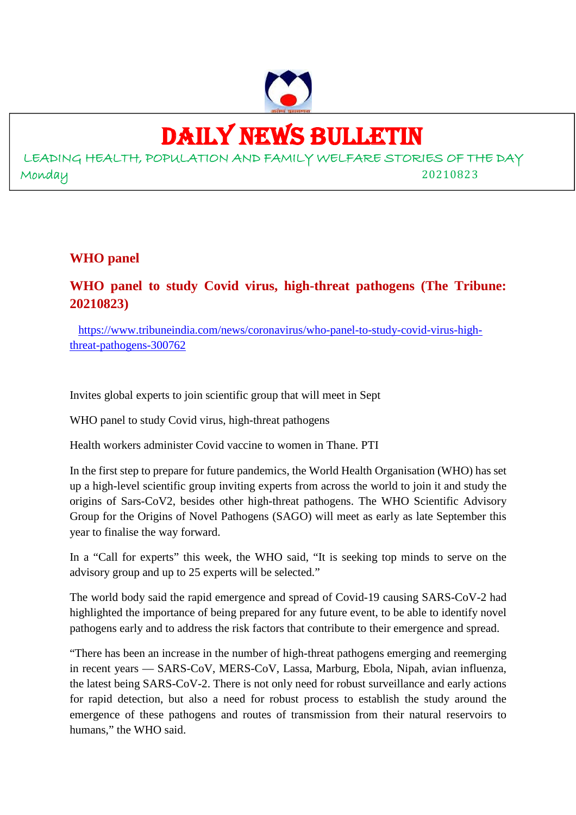

# DAILY NEWS BULLETIN

LEADING HEALTH, POPULATION AND FAMILY WELFARE STORIES OF THE DAY Monday 20210823

#### **WHO panel**

# **WHO panel to study Covid virus, high-threat pathogens (The Tribune: 20210823)**

https://www.tribuneindia.com/news/coronavirus/who-panel-to-study-covid-virus-highthreat-pathogens-300762

Invites global experts to join scientific group that will meet in Sept

WHO panel to study Covid virus, high-threat pathogens

Health workers administer Covid vaccine to women in Thane. PTI

In the first step to prepare for future pandemics, the World Health Organisation (WHO) has set up a high-level scientific group inviting experts from across the world to join it and study the origins of Sars-CoV2, besides other high-threat pathogens. The WHO Scientific Advisory Group for the Origins of Novel Pathogens (SAGO) will meet as early as late September this year to finalise the way forward.

In a "Call for experts" this week, the WHO said, "It is seeking top minds to serve on the advisory group and up to 25 experts will be selected."

The world body said the rapid emergence and spread of Covid-19 causing SARS-CoV-2 had highlighted the importance of being prepared for any future event, to be able to identify novel pathogens early and to address the risk factors that contribute to their emergence and spread.

"There has been an increase in the number of high-threat pathogens emerging and reemerging in recent years — SARS-CoV, MERS-CoV, Lassa, Marburg, Ebola, Nipah, avian influenza, the latest being SARS-CoV-2. There is not only need for robust surveillance and early actions for rapid detection, but also a need for robust process to establish the study around the emergence of these pathogens and routes of transmission from their natural reservoirs to humans," the WHO said.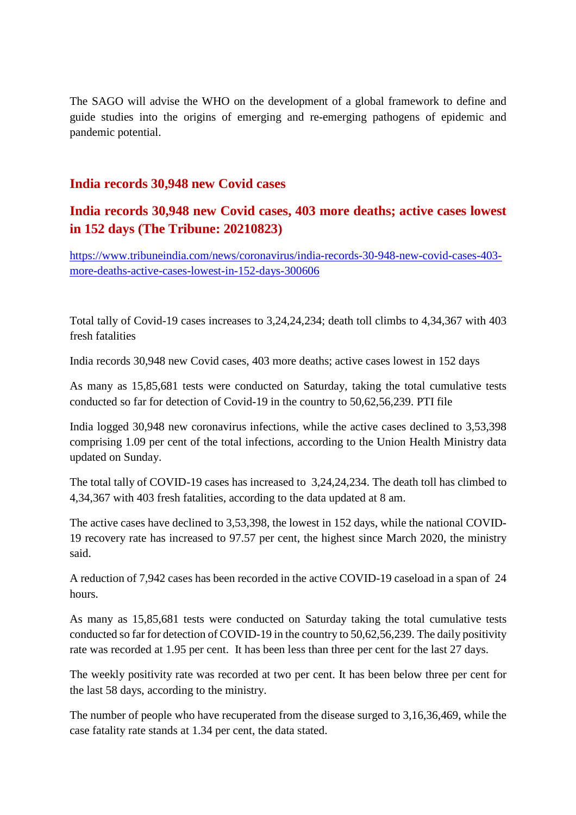The SAGO will advise the WHO on the development of a global framework to define and guide studies into the origins of emerging and re-emerging pathogens of epidemic and pandemic potential.

#### **India records 30,948 new Covid cases**

## **India records 30,948 new Covid cases, 403 more deaths; active cases lowest in 152 days (The Tribune: 20210823)**

https://www.tribuneindia.com/news/coronavirus/india-records-30-948-new-covid-cases-403 more-deaths-active-cases-lowest-in-152-days-300606

Total tally of Covid-19 cases increases to 3,24,24,234; death toll climbs to 4,34,367 with 403 fresh fatalities

India records 30,948 new Covid cases, 403 more deaths; active cases lowest in 152 days

As many as 15,85,681 tests were conducted on Saturday, taking the total cumulative tests conducted so far for detection of Covid-19 in the country to 50,62,56,239. PTI file

India logged 30,948 new coronavirus infections, while the active cases declined to 3,53,398 comprising 1.09 per cent of the total infections, according to the Union Health Ministry data updated on Sunday.

The total tally of COVID-19 cases has increased to 3,24,24,234. The death toll has climbed to 4,34,367 with 403 fresh fatalities, according to the data updated at 8 am.

The active cases have declined to 3,53,398, the lowest in 152 days, while the national COVID-19 recovery rate has increased to 97.57 per cent, the highest since March 2020, the ministry said.

A reduction of 7,942 cases has been recorded in the active COVID-19 caseload in a span of 24 hours.

As many as 15,85,681 tests were conducted on Saturday taking the total cumulative tests conducted so far for detection of COVID-19 in the country to 50,62,56,239. The daily positivity rate was recorded at 1.95 per cent. It has been less than three per cent for the last 27 days.

The weekly positivity rate was recorded at two per cent. It has been below three per cent for the last 58 days, according to the ministry.

The number of people who have recuperated from the disease surged to 3,16,36,469, while the case fatality rate stands at 1.34 per cent, the data stated.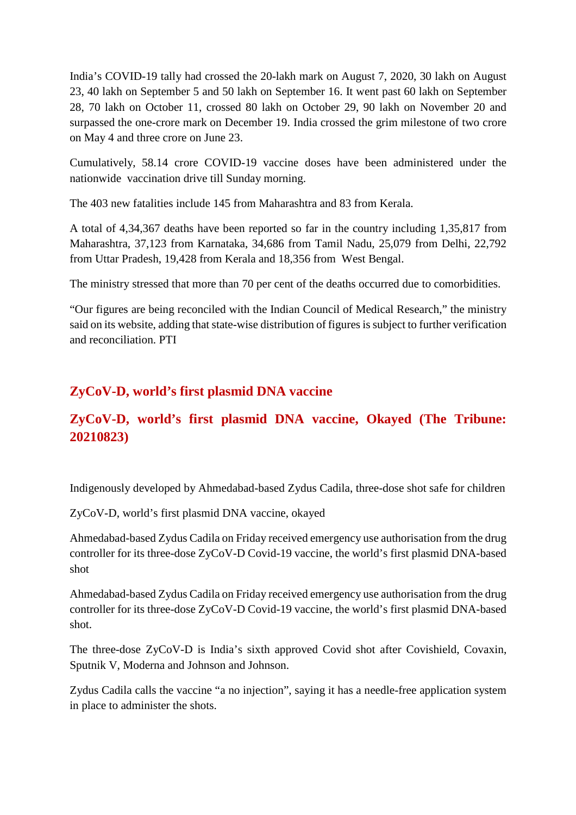India's COVID-19 tally had crossed the 20-lakh mark on August 7, 2020, 30 lakh on August 23, 40 lakh on September 5 and 50 lakh on September 16. It went past 60 lakh on September 28, 70 lakh on October 11, crossed 80 lakh on October 29, 90 lakh on November 20 and surpassed the one-crore mark on December 19. India crossed the grim milestone of two crore on May 4 and three crore on June 23.

Cumulatively, 58.14 crore COVID-19 vaccine doses have been administered under the nationwide vaccination drive till Sunday morning.

The 403 new fatalities include 145 from Maharashtra and 83 from Kerala.

A total of 4,34,367 deaths have been reported so far in the country including 1,35,817 from Maharashtra, 37,123 from Karnataka, 34,686 from Tamil Nadu, 25,079 from Delhi, 22,792 from Uttar Pradesh, 19,428 from Kerala and 18,356 from West Bengal.

The ministry stressed that more than 70 per cent of the deaths occurred due to comorbidities.

"Our figures are being reconciled with the Indian Council of Medical Research," the ministry said on its website, adding that state-wise distribution of figures is subject to further verification and reconciliation. PTI

# **ZyCoV-D, world's first plasmid DNA vaccine**

# **ZyCoV-D, world's first plasmid DNA vaccine, Okayed (The Tribune: 20210823)**

Indigenously developed by Ahmedabad-based Zydus Cadila, three-dose shot safe for children

ZyCoV-D, world's first plasmid DNA vaccine, okayed

Ahmedabad-based Zydus Cadila on Friday received emergency use authorisation from the drug controller for its three-dose ZyCoV-D Covid-19 vaccine, the world's first plasmid DNA-based shot

Ahmedabad-based Zydus Cadila on Friday received emergency use authorisation from the drug controller for its three-dose ZyCoV-D Covid-19 vaccine, the world's first plasmid DNA-based shot.

The three-dose ZyCoV-D is India's sixth approved Covid shot after Covishield, Covaxin, Sputnik V, Moderna and Johnson and Johnson.

Zydus Cadila calls the vaccine "a no injection", saying it has a needle-free application system in place to administer the shots.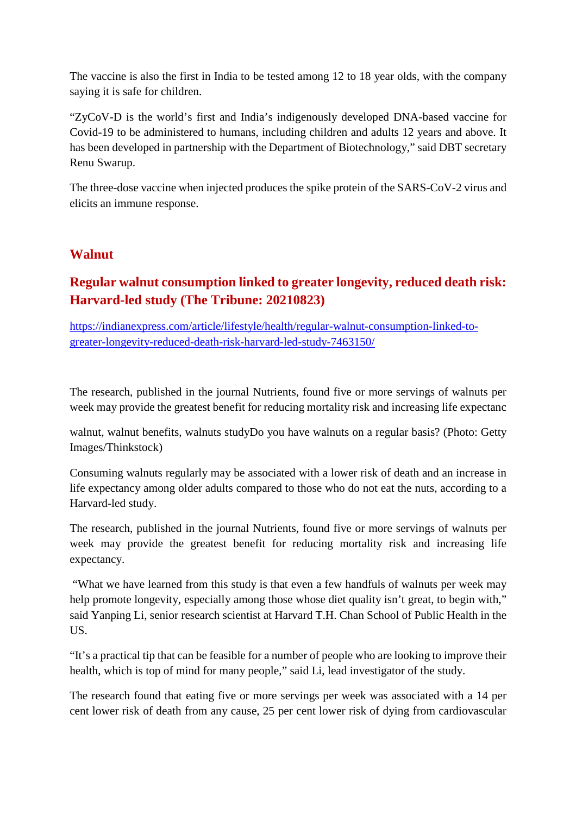The vaccine is also the first in India to be tested among 12 to 18 year olds, with the company saying it is safe for children.

"ZyCoV-D is the world's first and India's indigenously developed DNA-based vaccine for Covid-19 to be administered to humans, including children and adults 12 years and above. It has been developed in partnership with the Department of Biotechnology," said DBT secretary Renu Swarup.

The three-dose vaccine when injected produces the spike protein of the SARS-CoV-2 virus and elicits an immune response.

#### **Walnut**

# **Regular walnut consumption linked to greater longevity, reduced death risk: Harvard-led study (The Tribune: 20210823)**

https://indianexpress.com/article/lifestyle/health/regular-walnut-consumption-linked-togreater-longevity-reduced-death-risk-harvard-led-study-7463150/

The research, published in the journal Nutrients, found five or more servings of walnuts per week may provide the greatest benefit for reducing mortality risk and increasing life expectanc

walnut, walnut benefits, walnuts studyDo you have walnuts on a regular basis? (Photo: Getty Images/Thinkstock)

Consuming walnuts regularly may be associated with a lower risk of death and an increase in life expectancy among older adults compared to those who do not eat the nuts, according to a Harvard-led study.

The research, published in the journal Nutrients, found five or more servings of walnuts per week may provide the greatest benefit for reducing mortality risk and increasing life expectancy.

"What we have learned from this study is that even a few handfuls of walnuts per week may help promote longevity, especially among those whose diet quality isn't great, to begin with," said Yanping Li, senior research scientist at Harvard T.H. Chan School of Public Health in the US.

"It's a practical tip that can be feasible for a number of people who are looking to improve their health, which is top of mind for many people," said Li, lead investigator of the study.

The research found that eating five or more servings per week was associated with a 14 per cent lower risk of death from any cause, 25 per cent lower risk of dying from cardiovascular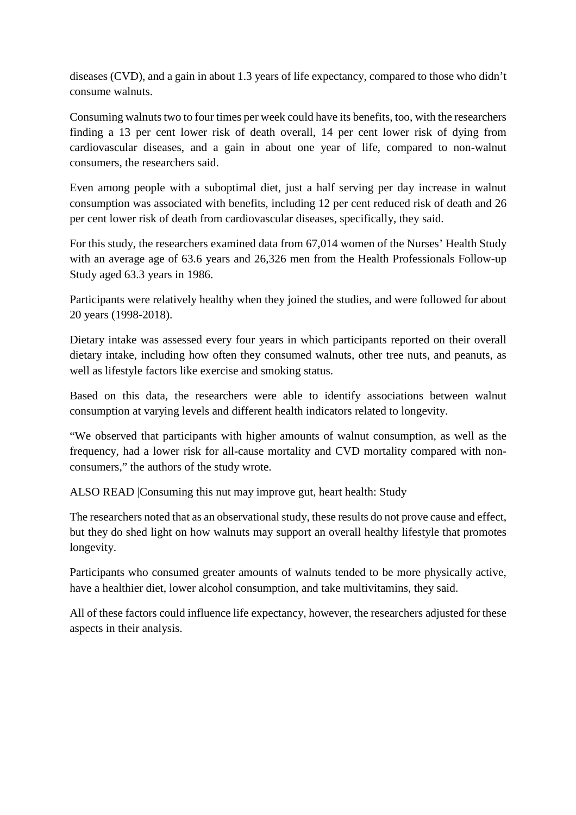diseases (CVD), and a gain in about 1.3 years of life expectancy, compared to those who didn't consume walnuts.

Consuming walnuts two to four times per week could have its benefits, too, with the researchers finding a 13 per cent lower risk of death overall, 14 per cent lower risk of dying from cardiovascular diseases, and a gain in about one year of life, compared to non-walnut consumers, the researchers said.

Even among people with a suboptimal diet, just a half serving per day increase in walnut consumption was associated with benefits, including 12 per cent reduced risk of death and 26 per cent lower risk of death from cardiovascular diseases, specifically, they said.

For this study, the researchers examined data from 67,014 women of the Nurses' Health Study with an average age of 63.6 years and 26,326 men from the Health Professionals Follow-up Study aged 63.3 years in 1986.

Participants were relatively healthy when they joined the studies, and were followed for about 20 years (1998-2018).

Dietary intake was assessed every four years in which participants reported on their overall dietary intake, including how often they consumed walnuts, other tree nuts, and peanuts, as well as lifestyle factors like exercise and smoking status.

Based on this data, the researchers were able to identify associations between walnut consumption at varying levels and different health indicators related to longevity.

"We observed that participants with higher amounts of walnut consumption, as well as the frequency, had a lower risk for all-cause mortality and CVD mortality compared with nonconsumers," the authors of the study wrote.

ALSO READ |Consuming this nut may improve gut, heart health: Study

The researchers noted that as an observational study, these results do not prove cause and effect, but they do shed light on how walnuts may support an overall healthy lifestyle that promotes longevity.

Participants who consumed greater amounts of walnuts tended to be more physically active, have a healthier diet, lower alcohol consumption, and take multivitamins, they said.

All of these factors could influence life expectancy, however, the researchers adjusted for these aspects in their analysis.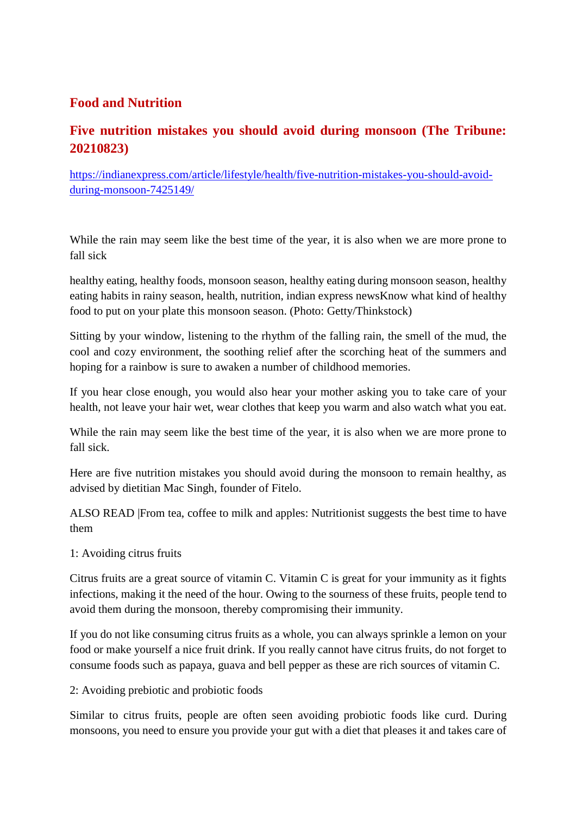#### **Food and Nutrition**

## **Five nutrition mistakes you should avoid during monsoon (The Tribune: 20210823)**

https://indianexpress.com/article/lifestyle/health/five-nutrition-mistakes-you-should-avoidduring-monsoon-7425149/

While the rain may seem like the best time of the year, it is also when we are more prone to fall sick

healthy eating, healthy foods, monsoon season, healthy eating during monsoon season, healthy eating habits in rainy season, health, nutrition, indian express newsKnow what kind of healthy food to put on your plate this monsoon season. (Photo: Getty/Thinkstock)

Sitting by your window, listening to the rhythm of the falling rain, the smell of the mud, the cool and cozy environment, the soothing relief after the scorching heat of the summers and hoping for a rainbow is sure to awaken a number of childhood memories.

If you hear close enough, you would also hear your mother asking you to take care of your health, not leave your hair wet, wear clothes that keep you warm and also watch what you eat.

While the rain may seem like the best time of the year, it is also when we are more prone to fall sick.

Here are five nutrition mistakes you should avoid during the monsoon to remain healthy, as advised by dietitian Mac Singh, founder of Fitelo.

ALSO READ |From tea, coffee to milk and apples: Nutritionist suggests the best time to have them

#### 1: Avoiding citrus fruits

Citrus fruits are a great source of vitamin C. Vitamin C is great for your immunity as it fights infections, making it the need of the hour. Owing to the sourness of these fruits, people tend to avoid them during the monsoon, thereby compromising their immunity.

If you do not like consuming citrus fruits as a whole, you can always sprinkle a lemon on your food or make yourself a nice fruit drink. If you really cannot have citrus fruits, do not forget to consume foods such as papaya, guava and bell pepper as these are rich sources of vitamin C.

#### 2: Avoiding prebiotic and probiotic foods

Similar to citrus fruits, people are often seen avoiding probiotic foods like curd. During monsoons, you need to ensure you provide your gut with a diet that pleases it and takes care of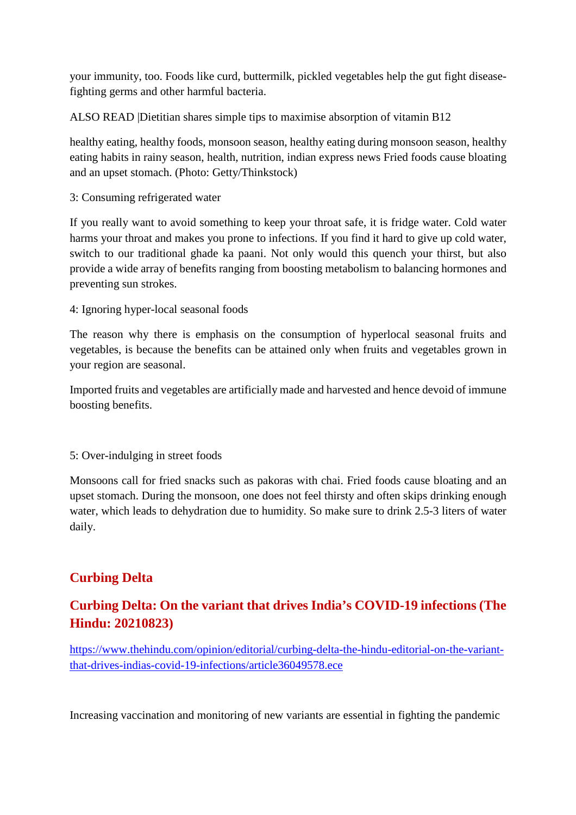your immunity, too. Foods like curd, buttermilk, pickled vegetables help the gut fight diseasefighting germs and other harmful bacteria.

ALSO READ |Dietitian shares simple tips to maximise absorption of vitamin B12

healthy eating, healthy foods, monsoon season, healthy eating during monsoon season, healthy eating habits in rainy season, health, nutrition, indian express news Fried foods cause bloating and an upset stomach. (Photo: Getty/Thinkstock)

3: Consuming refrigerated water

If you really want to avoid something to keep your throat safe, it is fridge water. Cold water harms your throat and makes you prone to infections. If you find it hard to give up cold water, switch to our traditional ghade ka paani. Not only would this quench your thirst, but also provide a wide array of benefits ranging from boosting metabolism to balancing hormones and preventing sun strokes.

4: Ignoring hyper-local seasonal foods

The reason why there is emphasis on the consumption of hyperlocal seasonal fruits and vegetables, is because the benefits can be attained only when fruits and vegetables grown in your region are seasonal.

Imported fruits and vegetables are artificially made and harvested and hence devoid of immune boosting benefits.

5: Over-indulging in street foods

Monsoons call for fried snacks such as pakoras with chai. Fried foods cause bloating and an upset stomach. During the monsoon, one does not feel thirsty and often skips drinking enough water, which leads to dehydration due to humidity. So make sure to drink 2.5-3 liters of water daily.

# **Curbing Delta**

# **Curbing Delta: On the variant that drives India's COVID-19 infections (The Hindu: 20210823)**

https://www.thehindu.com/opinion/editorial/curbing-delta-the-hindu-editorial-on-the-variantthat-drives-indias-covid-19-infections/article36049578.ece

Increasing vaccination and monitoring of new variants are essential in fighting the pandemic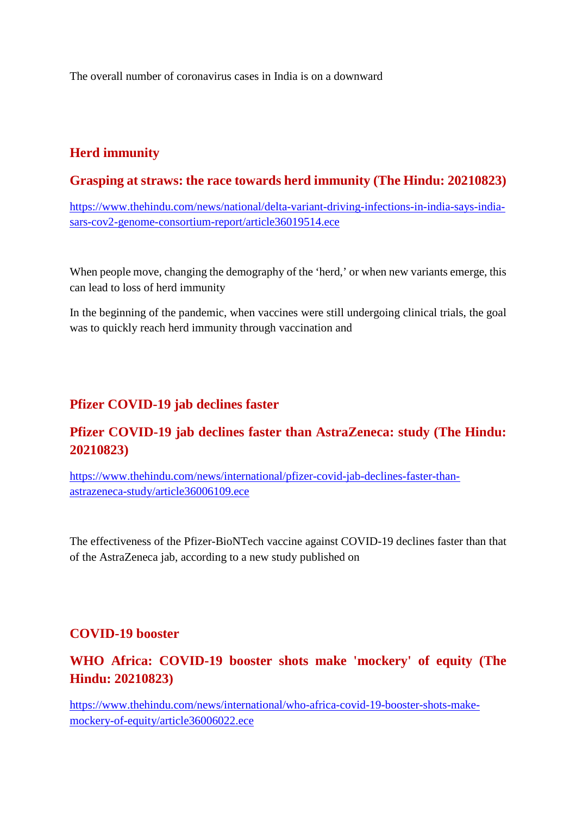The overall number of coronavirus cases in India is on a downward

## **Herd immunity**

#### **Grasping at straws: the race towards herd immunity (The Hindu: 20210823)**

https://www.thehindu.com/news/national/delta-variant-driving-infections-in-india-says-indiasars-cov2-genome-consortium-report/article36019514.ece

When people move, changing the demography of the 'herd,' or when new variants emerge, this can lead to loss of herd immunity

In the beginning of the pandemic, when vaccines were still undergoing clinical trials, the goal was to quickly reach herd immunity through vaccination and

#### **Pfizer COVID-19 jab declines faster**

### **Pfizer COVID-19 jab declines faster than AstraZeneca: study (The Hindu: 20210823)**

https://www.thehindu.com/news/international/pfizer-covid-jab-declines-faster-thanastrazeneca-study/article36006109.ece

The effectiveness of the Pfizer-BioNTech vaccine against COVID-19 declines faster than that of the AstraZeneca jab, according to a new study published on

#### **COVID-19 booster**

# **WHO Africa: COVID-19 booster shots make 'mockery' of equity (The Hindu: 20210823)**

https://www.thehindu.com/news/international/who-africa-covid-19-booster-shots-makemockery-of-equity/article36006022.ece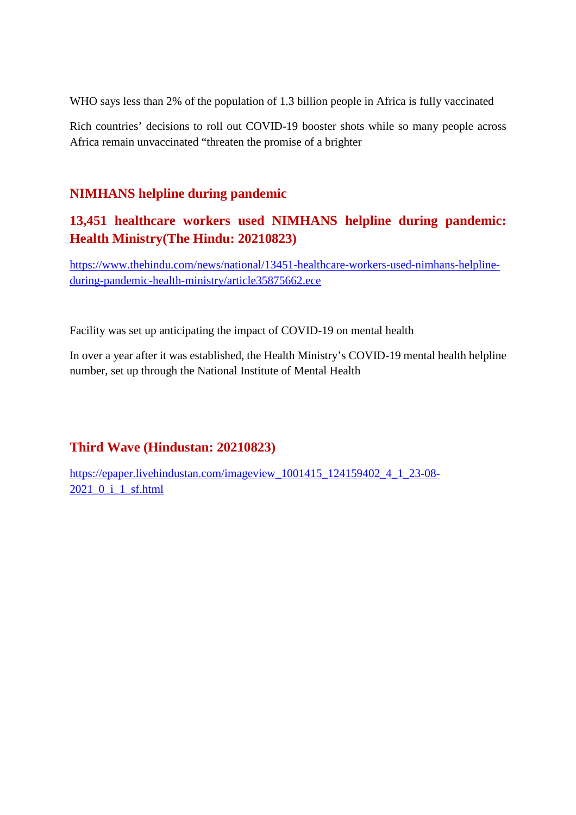WHO says less than 2% of the population of 1.3 billion people in Africa is fully vaccinated

Rich countries' decisions to roll out COVID-19 booster shots while so many people across Africa remain unvaccinated "threaten the promise of a brighter

#### **NIMHANS helpline during pandemic**

# **13,451 healthcare workers used NIMHANS helpline during pandemic: Health Ministry(The Hindu: 20210823)**

https://www.thehindu.com/news/national/13451-healthcare-workers-used-nimhans-helplineduring-pandemic-health-ministry/article35875662.ece

Facility was set up anticipating the impact of COVID-19 on mental health

In over a year after it was established, the Health Ministry's COVID-19 mental health helpline number, set up through the National Institute of Mental Health

#### **Third Wave (Hindustan: 20210823)**

https://epaper.livehindustan.com/imageview\_1001415\_124159402\_4\_1\_23-08- 2021\_0\_i\_1\_sf.html